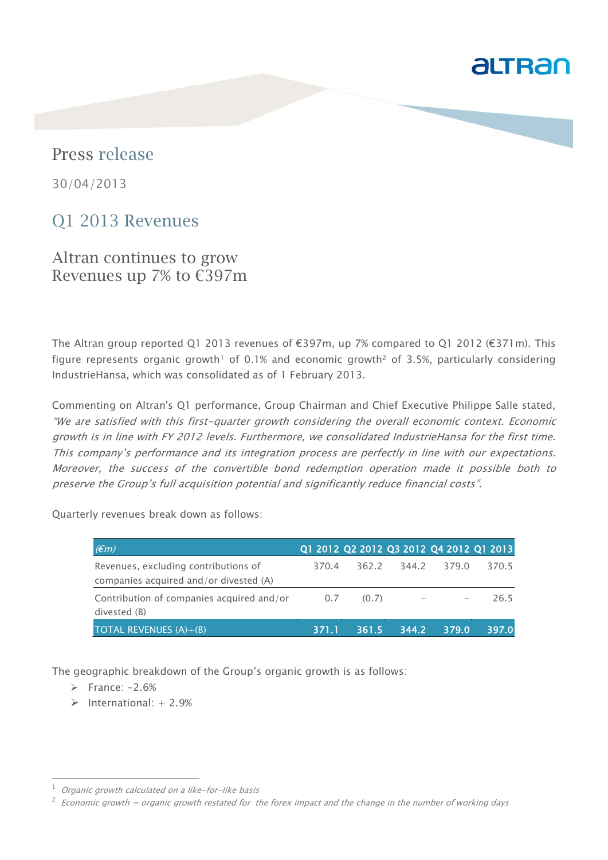# altran

# Press release

30/04/2013

# Q1 2013 Revenues

Altran continues to grow Revenues up 7% to €397m

The Altran group reported Q1 2013 revenues of €397m, up 7% compared to Q1 2012 (€371m). This figure represents organic growth<sup>1</sup> of 0.1% and economic growth<sup>2</sup> of 3.5%, particularly considering IndustrieHansa, which was consolidated as of 1 February 2013.

Commenting on Altran's Q1 performance, Group Chairman and Chief Executive Philippe Salle stated, "We are satisfied with this first-quarter growth considering the overall economic context. Economic growth is in line with FY 2012 levels. Furthermore, we consolidated IndustrieHansa for the first time. This company's performance and its integration process are perfectly in line with our expectations. Moreover, the success of the convertible bond redemption operation made it possible both to preserve the Group's full acquisition potential and significantly reduce financial costs".

Quarterly revenues break down as follows:

| E(m)                                                                           |       |       |       |       | Q1 2012 Q2 2012 Q3 2012 Q4 2012 Q1 2013 |
|--------------------------------------------------------------------------------|-------|-------|-------|-------|-----------------------------------------|
| Revenues, excluding contributions of<br>companies acquired and/or divested (A) | 370.4 | 362.2 | 344.2 | 379.0 | 370.5                                   |
| Contribution of companies acquired and/or<br>divested (B)                      | 0.7   | (0.7) |       |       | 26.5                                    |
| <b>TOTAL REVENUES <math>(A)+(B)</math></b>                                     | 371.1 | 361.5 | 344.2 | 379.0 | 397.0                                   |

The geographic breakdown of the Group's organic growth is as follows:

 $\triangleright$  France: -2.6%

1

 $\triangleright$  International: + 2.9%

Organic growth calculated on a like-for-like basis

<sup>2</sup> Economic growth = organic growth restated for the forex impact and the change in the number of working days